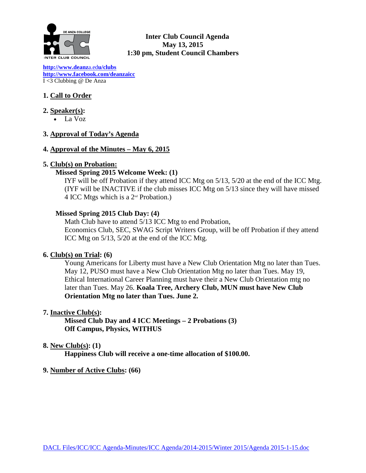

**Inter Club Council Agenda May 13, 2015 1:30 pm, Student Council Chambers** 

**[http://www.deanz](http://www.deanza.edu/clubs)**a.ed**u/clubs [http://www.facebook.com/deanzaicc](http://www.facebook.com/home.php%23!/group.php?gid=59034552686)** I <3 Clubbing @ De Anza

# **1. Call to Order**

- **2. Speaker(s):** 
	- La Voz

## **3. Approval of Today's Agenda**

### **4. Approval of the Minutes – May 6, 2015**

## **5. Club(s) on Probation:**

## **Missed Spring 2015 Welcome Week: (1)**

IYF will be off Probation if they attend ICC Mtg on 5/13, 5/20 at the end of the ICC Mtg. (IYF will be INACTIVE if the club misses ICC Mtg on 5/13 since they will have missed 4 ICC Mtgs which is a  $2<sup>nd</sup>$  Probation.)

## **Missed Spring 2015 Club Day: (4)**

Math Club have to attend 5/13 ICC Mtg to end Probation, Economics Club, SEC, SWAG Script Writers Group, will be off Probation if they attend ICC Mtg on 5/13, 5/20 at the end of the ICC Mtg.

### **6. Club(s) on Trial: (6)**

Young Americans for Liberty must have a New Club Orientation Mtg no later than Tues. May 12, PUSO must have a New Club Orientation Mtg no later than Tues. May 19, Ethical International Career Planning must have their a New Club Orientation mtg no later than Tues. May 26. **Koala Tree, Archery Club, MUN must have New Club Orientation Mtg no later than Tues. June 2.**

### **7. Inactive Club(s):**

**Missed Club Day and 4 ICC Meetings – 2 Probations (3) Off Campus, Physics, WITHUS**

### **8. New Club(s): (1)**

**Happiness Club will receive a one-time allocation of \$100.00.**

### **9. Number of Active Clubs: (66)**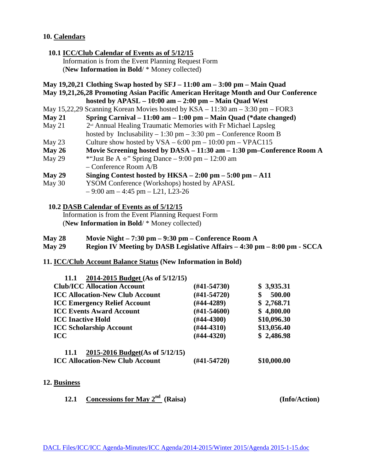### **10. Calendars**

- **10.1 ICC/Club Calendar of Events as of 5/12/15** Information is from the Event Planning Request Form (**New Information in Bold**/ \* Money collected)
- **May 19,20,21 Clothing Swap hosted by SFJ – 11:00 am – 3:00 pm – Main Quad**
- **May 19,21,26,28 Promoting Asian Pacific American Heritage Month and Our Conference hosted by APASL – 10:00 am – 2:00 pm – Main Quad West**
- May 15,22,29 Scanning Korean Movies hosted by KSA 11:30 am 3:30 pm FOR3
- **May 21 Spring Carnival – 11:00 am – 1:00 pm – Main Quad (\*date changed)**
- May 21  $2<sup>n<sub>d</sub></sup>$  Annual Healing Traumatic Memories with Fr Michael Lapsleg hosted by Inclusability  $-1:30 \text{ pm} - 3:30 \text{ pm} - \text{Conference Room B}$
- May 23 Culture show hosted by  $VSA 6:00 \text{ pm} 10:00 \text{ pm} \text{V}PAC115$
- **May 26 Movie Screening hosted by DASA – 11:30 am – 1:30 pm–Conference Room A**
- May 29 \* "Just Be A  $\star$ " Spring Dance 9:00 pm 12:00 am – Conference Room A/B
- **May 29 Singing Contest hosted by HKSA – 2:00 pm – 5:00 pm – A11**
- May 30 YSOM Conference (Workshops) hosted by APASL
	- $-9:00$  am  $-4:45$  pm  $-121$ , L23-26
	- **10.2 DASB Calendar of Events as of 5/12/15**

Information is from the Event Planning Request Form (**New Information in Bold**/ \* Money collected)

- **May 28 Movie Night – 7:30 pm – 9:30 pm – Conference Room A**
- **May 29 Region IV Meeting by DASB Legislative Affairs – 4:30 pm – 8:00 pm - SCCA**
- **11. ICC/Club Account Balance Status (New Information in Bold)**

| 2014-2015 Budget (As of 5/12/15)<br>11.1       |                  |             |
|------------------------------------------------|------------------|-------------|
| <b>Club/ICC Allocation Account</b>             | $(\#41 - 54730)$ | \$3,935.31  |
| <b>ICC Allocation-New Club Account</b>         | $(\#41 - 54720)$ | 500.00      |
| <b>ICC Emergency Relief Account</b>            | $(#44-4289)$     | \$2,768.71  |
| <b>ICC Events Award Account</b>                | $(\#41 - 54600)$ | \$4,800.00  |
| <b>ICC Inactive Hold</b>                       | $(\#44 - 4300)$  | \$10,096.30 |
| <b>ICC Scholarship Account</b>                 | $(\#44-4310)$    | \$13,056.40 |
| <b>ICC</b>                                     | $(#44-4320)$     | \$2,486.98  |
| 2015-2016 Budget(As of 5/12/15)<br><b>11.1</b> |                  |             |
| <b>ICC Allocation-New Club Account</b>         | (#41-54720)      | \$10,000.00 |

**12. Business** 

**12.1 Concessions for May 2nd (Raisa) (Info/Action)**